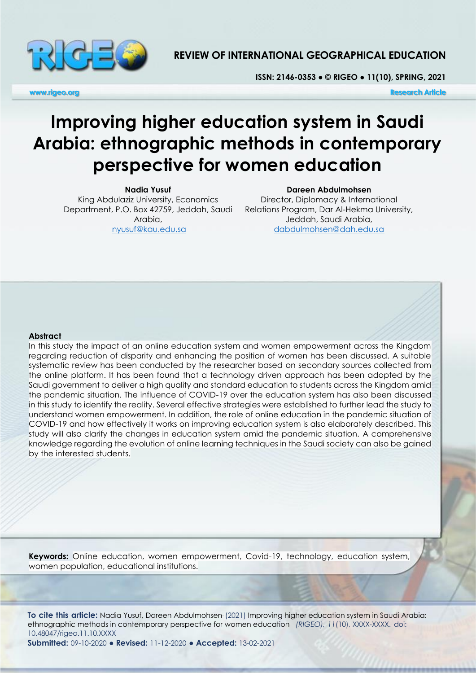

# **REVIEW OF INTERNATIONAL GEOGRAPHICAL EDUCATION**

**ISSN: 2146-0353 ● © RIGEO ● 11(10), SPRING, 2021**

**www.rigeo.org Research Article** 

# **Improving higher education system in Saudi Arabia: ethnographic methods in contemporary perspective for women education**

**Nadia Yusuf** King Abdulaziz University, Economics Department, P.O. Box 42759, Jeddah, Saudi Arabia, [nyusuf@kau.edu.sa](mailto:nyusuf@kau.edu.sa)

**Dareen Abdulmohsen**

Director, Diplomacy & International Relations Program, Dar Al-Hekma University, Jeddah, Saudi Arabia, [dabdulmohsen@dah.edu.sa](mailto:dabdulmohsen@dah.edu.sa)

#### **Abstract**

In this study the impact of an online education system and women empowerment across the Kingdom regarding reduction of disparity and enhancing the position of women has been discussed. A suitable systematic review has been conducted by the researcher based on secondary sources collected from the online platform. It has been found that a technology driven approach has been adopted by the Saudi government to deliver a high quality and standard education to students across the Kingdom amid the pandemic situation. The influence of COVID-19 over the education system has also been discussed in this study to identify the reality. Several effective strategies were established to further lead the study to understand women empowerment. In addition, the role of online education in the pandemic situation of COVID-19 and how effectively it works on improving education system is also elaborately described. This study will also clarify the changes in education system amid the pandemic situation. A comprehensive knowledge regarding the evolution of online learning techniques in the Saudi society can also be gained by the interested students.

**Keywords:** Online education, women empowerment, Covid-19, technology, education system, women population, educational institutions.

**To cite this article:** Nadia Yusuf, Dareen Abdulmohsen. (2021) Improving higher education system in Saudi Arabia: ethnographic methods in contemporary perspective for women education *(RIGEO), 11*(10), XXXX-XXXX. doi: 10.48047/rigeo.11.10.XXXX **Submitted:** 09-10-2020 **● Revised:** 11-12-2020 **● Accepted:** 13-02-2021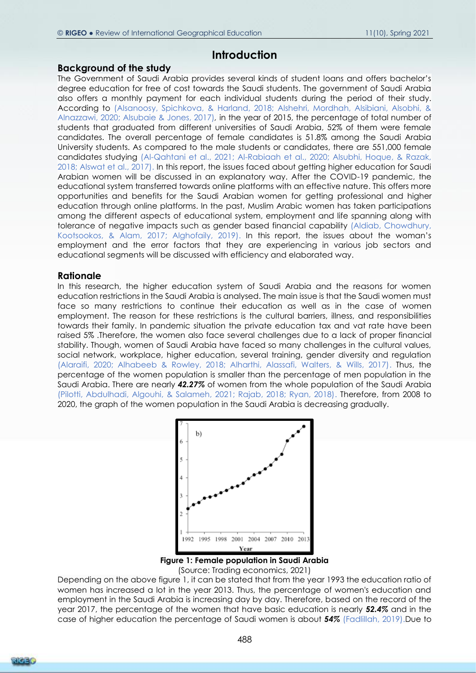### **Introduction**

### **Background of the study**

The Government of Saudi Arabia provides several kinds of student loans and offers bachelor's degree education for free of cost towards the Saudi students. The government of Saudi Arabia also offers a monthly payment for each individual students during the period of their study. According to (Alsanoosy, Spichkova, & Harland, 2018; Alshehri, Mordhah, Alsibiani, Alsobhi, & Alnazzawi, 2020; Alsubaie & Jones, 2017)*,* in the year of 2015, the percentage of total number of students that graduated from different universities of Saudi Arabia, 52% of them were female candidates. The overall percentage of female candidates is 51.8% among the Saudi Arabia University students. As compared to the male students or candidates, there are 551,000 female candidates studying (Al-Qahtani et al., 2021; Al-Rabiaah et al., 2020; Alsubhi, Hoque, & Razak, 2018; Alswat et al., 2017). In this report, the issues faced about getting higher education for Saudi Arabian women will be discussed in an explanatory way. After the COVID-19 pandemic, the educational system transferred towards online platforms with an effective nature. This offers more opportunities and benefits for the Saudi Arabian women for getting professional and higher education through online platforms. In the past, Muslim Arabic women has taken participations among the different aspects of educational system, employment and life spanning along with tolerance of negative impacts such as gender based financial capability (Aldiab, Chowdhury, Kootsookos, & Alam, 2017; Alghofaily, 2019). In this report, the issues about the woman's employment and the error factors that they are experiencing in various job sectors and educational segments will be discussed with efficiency and elaborated way.

### **Rationale**

In this research, the higher education system of Saudi Arabia and the reasons for women education restrictions in the Saudi Arabia is analysed. The main issue is that the Saudi women must face so many restrictions to continue their education as well as in the case of women employment. The reason for these restrictions is the cultural barriers, illness, and responsibilities towards their family. In pandemic situation the private education tax and vat rate have been raised 5% .Therefore, the women also face several challenges due to a lack of proper financial stability. Though, women of Saudi Arabia have faced so many challenges in the cultural values, social network, workplace, higher education, several training, gender diversity and regulation (Alaraifi, 2020; Alhabeeb & Rowley, 2018; Alharthi, Alassafi, Walters, & Wills, 2017). Thus, the percentage of the women population is smaller than the percentage of men population in the Saudi Arabia. There are nearly *42.27%* of women from the whole population of the Saudi Arabia (Pilotti, Abdulhadi, Algouhi, & Salameh, 2021; Rajab, 2018; Ryan, 2018). Therefore, from 2008 to 2020, the graph of the women population in the Saudi Arabia is decreasing gradually.



(Source: Trading economics, 2021)

Depending on the above figure 1, it can be stated that from the year 1993 the education ratio of women has increased a lot in the year 2013. Thus, the percentage of women's education and employment in the Saudi Arabia is increasing day by day. Therefore, based on the record of the year 2017, the percentage of the women that have basic education is nearly *52.4%* and in the case of higher education the percentage of Saudi women is about *54%* (Fadlillah, 2019).Due to

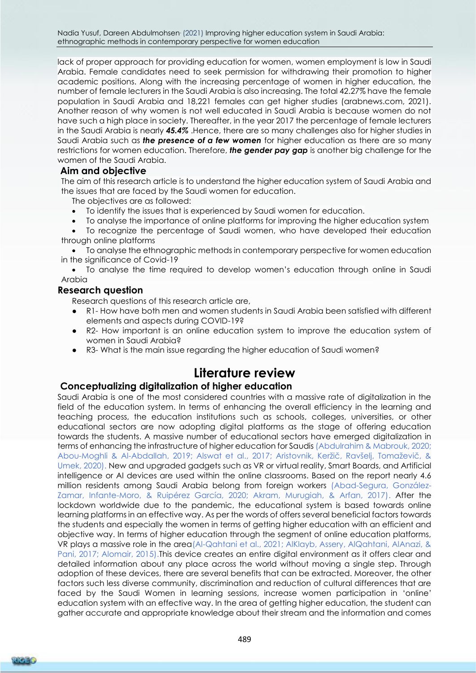Nadia Yusuf, Dareen Abdulmohsen. (2021) Improving higher education system in Saudi Arabia: ethnographic methods in contemporary perspective for women education

lack of proper approach for providing education for women, women employment is low in Saudi Arabia. Female candidates need to seek permission for withdrawing their promotion to higher academic positions. Along with the increasing percentage of women in higher education, the number of female lecturers in the Saudi Arabia is also increasing. The total 42.27% have the female population in Saudi Arabia and 18,221 females can get higher studies (arabnews.com, 2021). Another reason of why women is not well educated in Saudi Arabia is because women do not have such a high place in society. Thereafter, in the year 2017 the percentage of female lecturers in the Saudi Arabia is nearly *45.4%* .Hence, there are so many challenges also for higher studies in Saudi Arabia such as *the presence of a few women* for higher education as there are so many restrictions for women education. Therefore, *the gender pay gap* is another big challenge for the women of the Saudi Arabia.

### **Aim and objective**

The aim of this research article is to understand the higher education system of Saudi Arabia and the issues that are faced by the Saudi women for education.

The objectives are as followed:

• To identify the issues that is experienced by Saudi women for education.

• To analyse the importance of online platforms for improving the higher education system

• To recognize the percentage of Saudi women, who have developed their education through online platforms

• To analyse the ethnographic methods in contemporary perspective for women education in the significance of Covid-19

• To analyse the time required to develop women's education through online in Saudi Arabia

### **Research question**

Research questions of this research article are,

- R1- How have both men and women students in Saudi Arabia been satisfied with different elements and aspects during COVID-19?
- R2- How important is an online education system to improve the education system of women in Saudi Arabia?
- R3- What is the main issue regarding the higher education of Saudi women?

# **Literature review**

### **Conceptualizing digitalization of higher education**

Saudi Arabia is one of the most considered countries with a massive rate of digitalization in the field of the education system. In terms of enhancing the overall efficiency in the learning and teaching process, the education institutions such as schools, colleges, universities, or other educational sectors are now adopting digital platforms as the stage of offering education towards the students. A massive number of educational sectors have emerged digitalization in terms of enhancing the infrastructure of higher education for Saudis (Abdulrahim & Mabrouk, 2020; Abou-Moghli & Al-Abdallah, 2019; Alswat et al., 2017; Aristovnik, Keržič, Ravšelj, Tomaževič, & Umek, 2020). New and upgraded gadgets such as VR or virtual reality, Smart Boards, and Artificial intelligence or AI devices are used within the online classrooms. Based on the report nearly 4.6 million residents among Saudi Arabia belong from foreign workers (Abad-Segura, González-Zamar, Infante-Moro, & Ruipérez García, 2020; Akram, Murugiah, & Arfan, 2017). After the lockdown worldwide due to the pandemic, the educational system is based towards online learning platforms in an effective way. As per the words of offers several beneficial factors towards the students and especially the women in terms of getting higher education with an efficient and objective way. In terms of higher education through the segment of online education platforms, VR plays a massive role in the area(Al-Qahtani et al., 2021; AlKlayb, Assery, AlQahtani, AlAnazi, & Pani, 2017; Alomair, 2015).This device creates an entire digital environment as it offers clear and detailed information about any place across the world without moving a single step. Through adoption of these devices, there are several benefits that can be extracted. Moreover, the other factors such less diverse community, discrimination and reduction of cultural differences that are faced by the Saudi Women in learning sessions, increase women participation in 'online' education system with an effective way. In the area of getting higher education, the student can gather accurate and appropriate knowledge about their stream and the information and comes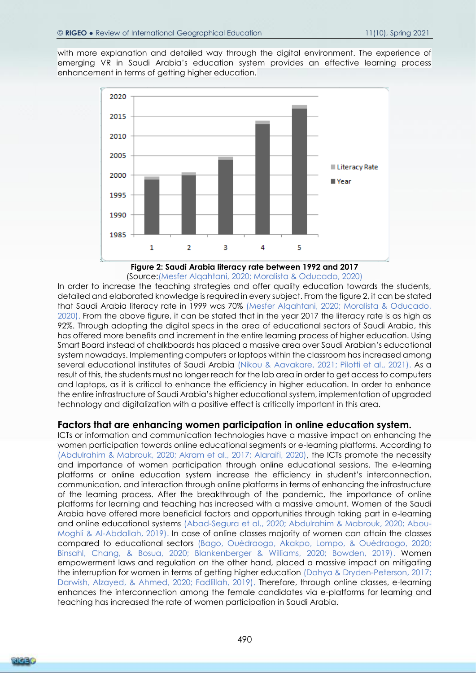with more explanation and detailed way through the digital environment. The experience of emerging VR in Saudi Arabia's education system provides an effective learning process enhancement in terms of getting higher education.



**Figure 2: Saudi Arabia literacy rate between 1992 and 2017** (Source:(Mesfer Alqahtani, 2020; Moralista & Oducado, 2020)

In order to increase the teaching strategies and offer quality education towards the students, detailed and elaborated knowledge is required in every subject. From the figure 2, it can be stated that Saudi Arabia literacy rate in 1999 was 70% (Mesfer Alqahtani, 2020; Moralista & Oducado, 2020). From the above figure, it can be stated that in the year 2017 the literacy rate is as high as 92%. Through adopting the digital specs in the area of educational sectors of Saudi Arabia, this has offered more benefits and increment in the entire learning process of higher education. Using Smart Board instead of chalkboards has placed a massive area over Saudi Arabian's educational system nowadays. Implementing computers or laptops within the classroom has increased among several educational institutes of Saudi Arabia (Nikou & Aavakare, 2021; Pilotti et al., 2021). As a result of this, the students must no longer reach for the lab area in order to get access to computers and laptops, as it is critical to enhance the efficiency in higher education. In order to enhance the entire infrastructure of Saudi Arabia's higher educational system, implementation of upgraded technology and digitalization with a positive effect is critically important in this area.

### **Factors that are enhancing women participation in online education system.**

ICTs or information and communication technologies have a massive impact on enhancing the women participation towards online educational segments or e-learning platforms. According to (Abdulrahim & Mabrouk, 2020; Akram et al., 2017; Alaraifi, 2020), the ICTs promote the necessity and importance of women participation through online educational sessions. The e-learning platforms or online education system increase the efficiency in student's interconnection, communication, and interaction through online platforms in terms of enhancing the infrastructure of the learning process. After the breakthrough of the pandemic, the importance of online platforms for learning and teaching has increased with a massive amount. Women of the Saudi Arabia have offered more beneficial factors and opportunities through taking part in e-learning and online educational systems (Abad-Segura et al., 2020; Abdulrahim & Mabrouk, 2020; Abou-Moghli & Al-Abdallah, 2019). In case of online classes majority of women can attain the classes compared to educational sectors (Bago, Ouédraogo, Akakpo, Lompo, & Ouédraogo, 2020; Binsahl, Chang, & Bosua, 2020; Blankenberger & Williams, 2020; Bowden, 2019). Women empowerment laws and regulation on the other hand, placed a massive impact on mitigating the interruption for women in terms of getting higher education (Dahya & Dryden-Peterson, 2017; Darwish, Alzayed, & Ahmed, 2020; Fadlillah, 2019). Therefore, through online classes, e-learning enhances the interconnection among the female candidates via e-platforms for learning and teaching has increased the rate of women participation in Saudi Arabia.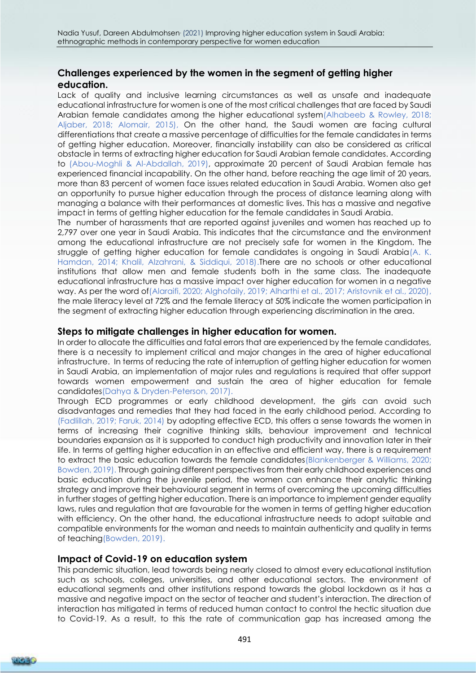## **Challenges experienced by the women in the segment of getting higher education.**

Lack of quality and inclusive learning circumstances as well as unsafe and inadequate educational infrastructure for women is one of the most critical challenges that are faced by Saudi Arabian female candidates among the higher educational system(Alhabeeb & Rowley, 2018; Aljaber, 2018; Alomair, 2015), On the other hand, the Saudi women are facing cultural differentiations that create a massive percentage of difficulties for the female candidates in terms of getting higher education. Moreover, financially instability can also be considered as critical obstacle in terms of extracting higher education for Saudi Arabian female candidates. According to (Abou-Moghli & Al-Abdallah, 2019), approximate 20 percent of Saudi Arabian female has experienced financial incapability. On the other hand, before reaching the age limit of 20 years, more than 83 percent of women face issues related education in Saudi Arabia. Women also get an opportunity to pursue higher education through the process of distance learning along with managing a balance with their performances at domestic lives. This has a massive and negative impact in terms of getting higher education for the female candidates in Saudi Arabia.

The number of harassments that are reported against juveniles and women has reached up to 2,797 over one year in Saudi Arabia. This indicates that the circumstance and the environment among the educational infrastructure are not precisely safe for women in the Kingdom. The struggle of getting higher education for female candidates is ongoing in Saudi Arabia(A. K. Hamdan, 2014; Khalil, Alzahrani, & Siddiqui, 2018).There are no schools or other educational institutions that allow men and female students both in the same class. The inadequate educational infrastructure has a massive impact over higher education for women in a negative way. As per the word of(Alaraifi, 2020; Alghofaily, 2019; Alharthi et al., 2017; Aristovnik et al., 2020), the male literacy level at 72% and the female literacy at 50% indicate the women participation in the segment of extracting higher education through experiencing discrimination in the area.

### **Steps to mitigate challenges in higher education for women.**

In order to allocate the difficulties and fatal errors that are experienced by the female candidates, there is a necessity to implement critical and major changes in the area of higher educational infrastructure. In terms of reducing the rate of interruption of getting higher education for women in Saudi Arabia, an implementation of major rules and regulations is required that offer support towards women empowerment and sustain the area of higher education for female candidates(Dahya & Dryden-Peterson, 2017).

Through ECD programmes or early childhood development, the girls can avoid such disadvantages and remedies that they had faced in the early childhood period. According to (Fadlillah, 2019; Faruk, 2014) by adopting effective ECD, this offers a sense towards the women in terms of increasing their cognitive thinking skills, behaviour improvement and technical boundaries expansion as it is supported to conduct high productivity and innovation later in their life. In terms of getting higher education in an effective and efficient way, there is a requirement to extract the basic education towards the female candidates(Blankenberger & Williams, 2020; Bowden, 2019). Through gaining different perspectives from their early childhood experiences and basic education during the juvenile period, the women can enhance their analytic thinking strategy and improve their behavioural segment in terms of overcoming the upcoming difficulties in further stages of getting higher education. There is an importance to implement gender equality laws, rules and regulation that are favourable for the women in terms of getting higher education with efficiency. On the other hand, the educational infrastructure needs to adopt suitable and compatible environments for the woman and needs to maintain authenticity and quality in terms of teaching(Bowden, 2019).

### **Impact of Covid-19 on education system**

This pandemic situation, lead towards being nearly closed to almost every educational institution such as schools, colleges, universities, and other educational sectors. The environment of educational segments and other institutions respond towards the global lockdown as it has a massive and negative impact on the sector of teacher and student's interaction. The direction of interaction has mitigated in terms of reduced human contact to control the hectic situation due to Covid-19. As a result, to this the rate of communication gap has increased among the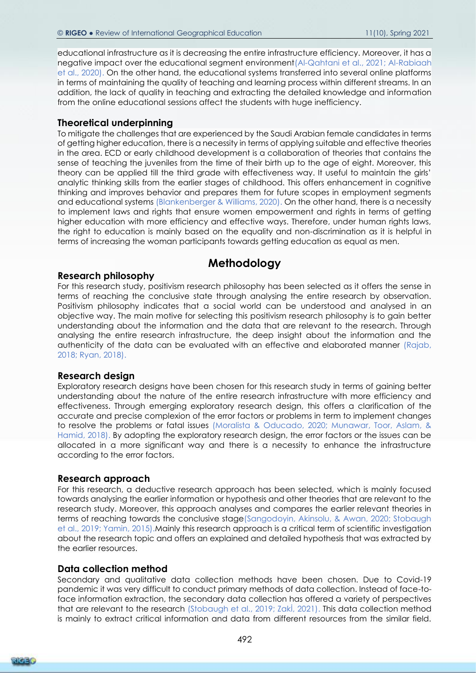educational infrastructure as it is decreasing the entire infrastructure efficiency. Moreover, it has a negative impact over the educational segment environment(Al-Qahtani et al., 2021; Al-Rabiaah et al., 2020). On the other hand, the educational systems transferred into several online platforms in terms of maintaining the quality of teaching and learning process within different streams. In an addition, the lack of quality in teaching and extracting the detailed knowledge and information from the online educational sessions affect the students with huge inefficiency.

### **Theoretical underpinning**

To mitigate the challenges that are experienced by the Saudi Arabian female candidates in terms of getting higher education, there is a necessity in terms of applying suitable and effective theories in the area. ECD or early childhood development is a collaboration of theories that contains the sense of teaching the juveniles from the time of their birth up to the age of eight. Moreover, this theory can be applied till the third grade with effectiveness way. It useful to maintain the girls' analytic thinking skills from the earlier stages of childhood. This offers enhancement in cognitive thinking and improves behavior and prepares them for future scopes in employment segments and educational systems (Blankenberger & Williams, 2020). On the other hand, there is a necessity to implement laws and rights that ensure women empowerment and rights in terms of getting higher education with more efficiency and effective ways. Therefore, under human rights laws, the right to education is mainly based on the equality and non-discrimination as it is helpful in terms of increasing the woman participants towards getting education as equal as men.

# **Methodology**

### **Research philosophy**

For this research study, positivism research philosophy has been selected as it offers the sense in terms of reaching the conclusive state through analysing the entire research by observation. Positivism philosophy indicates that a social world can be understood and analysed in an objective way. The main motive for selecting this positivism research philosophy is to gain better understanding about the information and the data that are relevant to the research. Through analysing the entire research infrastructure, the deep insight about the information and the authenticity of the data can be evaluated with an effective and elaborated manner (Rajab, 2018; Ryan, 2018).

### **Research design**

Exploratory research designs have been chosen for this research study in terms of gaining better understanding about the nature of the entire research infrastructure with more efficiency and effectiveness. Through emerging exploratory research design, this offers a clarification of the accurate and precise complexion of the error factors or problems in term to implement changes to resolve the problems or fatal issues (Moralista & Oducado, 2020; Munawar, Toor, Aslam, & Hamid, 2018). By adopting the exploratory research design, the error factors or the issues can be allocated in a more significant way and there is a necessity to enhance the infrastructure according to the error factors.

### **Research approach**

For this research, a deductive research approach has been selected, which is mainly focused towards analysing the earlier information or hypothesis and other theories that are relevant to the research study. Moreover, this approach analyses and compares the earlier relevant theories in terms of reaching towards the conclusive stage(Sangodoyin, Akinsolu, & Awan, 2020; Stobaugh et al., 2019; Yamin, 2015).Mainly this research approach is a critical term of scientific investigation about the research topic and offers an explained and detailed hypothesis that was extracted by the earlier resources.

#### **Data collection method**

Secondary and qualitative data collection methods have been chosen. Due to Covid-19 pandemic it was very difficult to conduct primary methods of data collection. Instead of face-toface information extraction, the secondary data collection has offered a variety of perspectives that are relevant to the research (Stobaugh et al., 2019; Zakİ, 2021). This data collection method is mainly to extract critical information and data from different resources from the similar field.

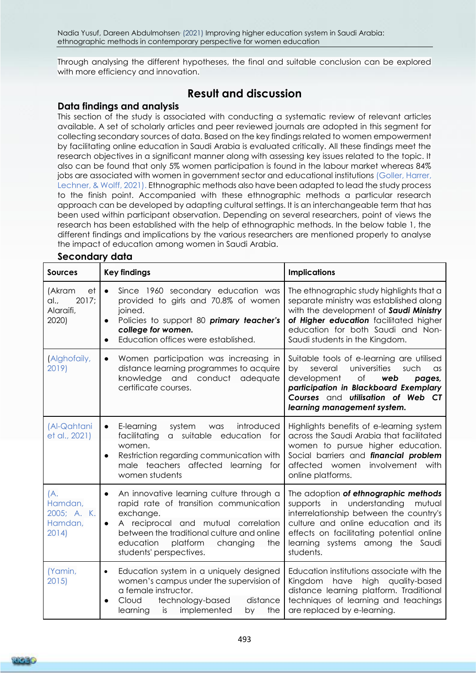Through analysing the different hypotheses, the final and suitable conclusion can be explored with more efficiency and innovation.

# **Result and discussion**

### **Data findings and analysis**

This section of the study is associated with conducting a systematic review of relevant articles available. A set of scholarly articles and peer reviewed journals are adopted in this segment for collecting secondary sources of data. Based on the key findings related to women empowerment by facilitating online education in Saudi Arabia is evaluated critically. All these findings meet the research objectives in a significant manner along with assessing key issues related to the topic. It also can be found that only 5% women participation is found in the labour market whereas 84% jobs are associated with women in government sector and educational institutions (Goller, Harrer, Lechner, & Wolff, 2021). Ethnographic methods also have been adapted to lead the study process to the finish point. Accompanied with these ethnographic methods a particular research approach can be developed by adapting cultural settings. It is an interchangeable term that has been used within participant observation. Depending on several researchers, point of views the research has been established with the help of ethnographic methods. In the below table 1, the different findings and implications by the various researchers are mentioned properly to analyse the impact of education among women in Saudi Arabia.

| <b>Sources</b>                                      | <b>Key findings</b>                                                                                                                                                                                                                                                                   | <b>Implications</b>                                                                                                                                                                                                                                         |
|-----------------------------------------------------|---------------------------------------------------------------------------------------------------------------------------------------------------------------------------------------------------------------------------------------------------------------------------------------|-------------------------------------------------------------------------------------------------------------------------------------------------------------------------------------------------------------------------------------------------------------|
| (Akram<br>et<br>2017:<br>al.,<br>Alaraifi,<br>2020) | Since 1960 secondary education was<br>$\bullet$<br>provided to girls and 70.8% of women<br>joined.<br>Policies to support 80 primary teacher's<br>college for women.<br>Education offices were established.                                                                           | The ethnographic study highlights that a<br>separate ministry was established along<br>with the development of Saudi Ministry<br>of Higher education facilitated higher<br>education for both Saudi and Non-<br>Saudi students in the Kingdom.              |
| (Alghofaily,<br>2019)                               | Women participation was increasing in<br>$\bullet$<br>distance learning programmes to acquire<br>knowledge and conduct<br>adequate<br>certificate courses.                                                                                                                            | Suitable tools of e-learning are utilised<br>universities<br>several<br>such<br>by<br>$\alpha$ s<br>development<br>Оf<br>web<br>pages,<br>participation in Blackboard Exemplary<br>Courses and utilisation of Web CT<br>learning management system.         |
| (Al-Qahtani<br>et al., 2021)                        | E-learning<br>system<br>introduced<br>was<br>$\bullet$<br>facilitating<br>suitable education for<br>$\alpha$<br>women.<br>Restriction regarding communication with<br>$\bullet$<br>male teachers affected learning for<br>women students                                              | Highlights benefits of e-learning system<br>across the Saudi Arabia that facilitated<br>women to pursue higher education.<br>Social barriers and financial problem<br>affected women involvement with<br>online platforms.                                  |
| (A.<br>Hamdan,<br>2005; A. K.<br>Hamdan,<br>2014)   | An innovative learning culture through a<br>$\bullet$<br>rapid rate of transition communication<br>exchange.<br>A reciprocal and mutual correlation<br>$\bullet$<br>between the traditional culture and online<br>education<br>platform<br>changing<br>the<br>students' perspectives. | The adoption of ethnographic methods<br>supports in understanding<br>mutual<br>interrelationship between the country's<br>culture and online education and its<br>effects on facilitating potential online<br>learning systems among the Saudi<br>students. |
| (Yamin,<br>2015                                     | Education system in a uniquely designed<br>$\bullet$<br>women's campus under the supervision of<br>a female instructor.<br>Cloud<br>technology-based<br>distance<br>learning is<br>implemented<br>the<br>by                                                                           | Education institutions associate with the<br>Kingdom<br>have<br>high quality-based<br>distance learning platform. Traditional<br>techniques of learning and teachings<br>are replaced by e-learning.                                                        |

### **Secondary data**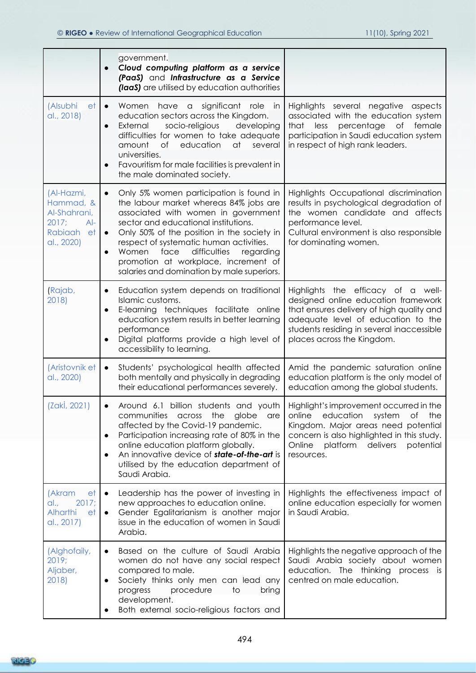|                                                                                          | government.<br>Cloud computing platform as a service<br>(PaaS) and Infrastructure as a Service<br>(laaS) are utilised by education authorities                                                                                                                                                                                                                                                             |                                                                                                                                                                                                                                         |
|------------------------------------------------------------------------------------------|------------------------------------------------------------------------------------------------------------------------------------------------------------------------------------------------------------------------------------------------------------------------------------------------------------------------------------------------------------------------------------------------------------|-----------------------------------------------------------------------------------------------------------------------------------------------------------------------------------------------------------------------------------------|
| (Alsubhi<br>et<br>al., 2018)                                                             | significant<br>Women<br>have a<br>role<br>in<br>$\bullet$<br>education sectors across the Kingdom.<br>External<br>socio-religious<br>developing<br>$\bullet$<br>difficulties for women to take adequate<br>of<br>amount<br>education<br>at<br>several<br>universities.<br>Favouritism for male facilities is prevalent in<br>the male dominated society.                                                   | Highlights several negative<br>aspects<br>associated with the education system<br>female<br>that<br>less<br>percentage<br>of<br>participation in Saudi education system<br>in respect of high rank leaders.                             |
| (Al-Hazmi,<br>Hammad, &<br>Al-Shahrani,<br>2017;<br>$Al-$<br>Rabiaah<br>et<br>al., 2020) | Only 5% women participation is found in<br>$\bullet$<br>the labour market whereas 84% jobs are<br>associated with women in government<br>sector and educational institutions.<br>Only 50% of the position in the society in<br>respect of systematic human activities.<br>face<br>difficulties<br>Women<br>regarding<br>promotion at workplace, increment of<br>salaries and domination by male superiors. | Highlights Occupational discrimination<br>results in psychological degradation of<br>the women candidate and affects<br>performance level.<br>Cultural environment is also responsible<br>for dominating women.                         |
| (Rajab,<br>2018)                                                                         | Education system depends on traditional<br>Islamic customs.<br>E-learning techniques facilitate online<br>education system results in better learning<br>performance<br>Digital platforms provide a high level of<br>accessibility to learning.                                                                                                                                                            | Highlights the efficacy of a well-<br>designed online education framework<br>that ensures delivery of high quality and<br>adequate level of education to the<br>students residing in several inaccessible<br>places across the Kingdom. |
| (Aristovnik et<br>al., 2020)                                                             | Students' psychological health affected<br>$\bullet$<br>both mentally and physically in degrading<br>their educational performances severely.                                                                                                                                                                                                                                                              | Amid the pandemic saturation online<br>education platform is the only model of<br>education among the global students.                                                                                                                  |
| (Zakİ, 2021)                                                                             | Around 6.1 billion students and youth<br>communities<br>the<br>across<br>globe<br>are<br>affected by the Covid-19 pandemic.<br>Participation increasing rate of 80% in the<br>online education platform globally.<br>An innovative device of state-of-the-art is<br>utilised by the education department of<br>Saudi Arabia.                                                                               | Highlight's improvement occurred in the<br>education<br>online<br>system<br>Оf<br>the<br>Kingdom. Major areas need potential<br>concern is also highlighted in this study.<br>Online<br>platform delivers<br>potential<br>resources.    |
| (Akram<br>et<br>al.,<br>2017;<br>Alharthi<br>et<br>al., 2017)                            | Leadership has the power of investing in<br>new approaches to education online.<br>Gender Egalitarianism is another major<br>$\bullet$<br>issue in the education of women in Saudi<br>Arabia.                                                                                                                                                                                                              | Highlights the effectiveness impact of<br>online education especially for women<br>in Saudi Arabia.                                                                                                                                     |
| (Alghofaily,<br>2019;<br>Aljaber,<br>2018)                                               | Based on the culture of Saudi Arabia<br>women do not have any social respect<br>compared to male.<br>Society thinks only men can lead any<br>procedure<br>to<br>progress<br>bring<br>development.<br>Both external socio-religious factors and                                                                                                                                                             | Highlights the negative approach of the<br>Saudi Arabia society about women<br>education. The thinking process is<br>centred on male education.                                                                                         |

**RICE®**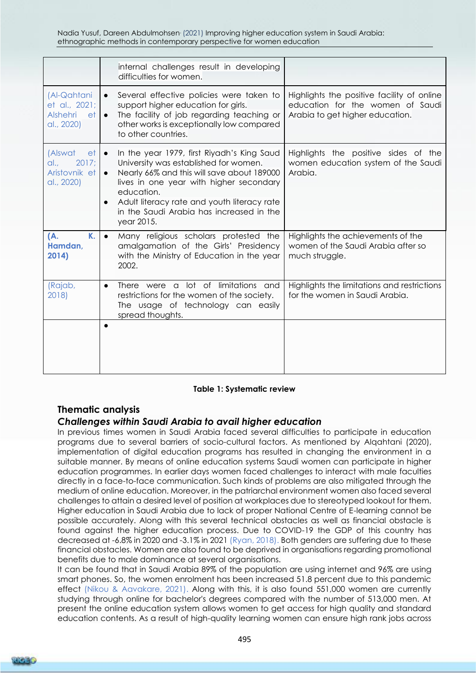Nadia Yusuf, Dareen Abdulmohsen. (2021) Improving higher education system in Saudi Arabia: ethnographic methods in contemporary perspective for women education

|                                                                     | internal challenges result in developing<br>difficulties for women.                                                                                                                                                                                                                                                           |                                                                                                                   |
|---------------------------------------------------------------------|-------------------------------------------------------------------------------------------------------------------------------------------------------------------------------------------------------------------------------------------------------------------------------------------------------------------------------|-------------------------------------------------------------------------------------------------------------------|
| (Al-Qahtani<br>et al., 2021;<br><b>Alshehri</b><br>et<br>al., 2020) | Several effective policies were taken to<br>$\bullet$<br>support higher education for girls.<br>The facility of job regarding teaching or<br>$\bullet$<br>other works is exceptionally low compared<br>to other countries.                                                                                                    | Highlights the positive facility of online<br>education for the women of Saudi<br>Arabia to get higher education. |
| (Alswat<br>et<br>2017;<br>al<br>Aristovnik et<br>al., 2020)         | In the year 1979, first Riyadh's King Saud<br>$\bullet$<br>University was established for women.<br>Nearly 66% and this will save about 189000<br>$\bullet$<br>lives in one year with higher secondary<br>education.<br>Adult literacy rate and youth literacy rate<br>in the Saudi Arabia has increased in the<br>year 2015. | Highlights the positive sides of the<br>women education system of the Saudi<br>Arabia.                            |
| К.<br>(A.<br>Hamdan.<br>2014)                                       | Many religious scholars protested the<br>$\bullet$<br>amalgamation of the Girls' Presidency<br>with the Ministry of Education in the year<br>2002.                                                                                                                                                                            | Highlights the achievements of the<br>women of the Saudi Arabia after so<br>much struggle.                        |
| (Rajab,<br>2018)                                                    | There were a lot of limitations and<br>$\bullet$<br>restrictions for the women of the society.<br>The usage of technology can easily<br>spread thoughts.                                                                                                                                                                      | Highlights the limitations and restrictions<br>for the women in Saudi Arabia.                                     |
|                                                                     |                                                                                                                                                                                                                                                                                                                               |                                                                                                                   |

#### **Table 1: Systematic review**

### **Thematic analysis**

### *Challenges within Saudi Arabia to avail higher education*

In previous times women in Saudi Arabia faced several difficulties to participate in education programs due to several barriers of socio-cultural factors. As mentioned by Alqahtani (2020), implementation of digital education programs has resulted in changing the environment in a suitable manner. By means of online education systems Saudi women can participate in higher education programmes. In earlier days women faced challenges to interact with male faculties directly in a face-to-face communication. Such kinds of problems are also mitigated through the medium of online education. Moreover, in the patriarchal environment women also faced several challenges to attain a desired level of position at workplaces due to stereotyped lookout for them. Higher education in Saudi Arabia due to lack of proper National Centre of E-learning cannot be possible accurately. Along with this several technical obstacles as well as financial obstacle is found against the higher education process. Due to COVID-19 the GDP of this country has decreased at -6.8% in 2020 and -3.1% in 2021 (Ryan, 2018). Both genders are suffering due to these financial obstacles. Women are also found to be deprived in organisations regarding promotional benefits due to male dominance at several organisations.

It can be found that in Saudi Arabia 89% of the population are using internet and 96% are using smart phones. So, the women enrolment has been increased 51.8 percent due to this pandemic effect (Nikou & Aavakare, 2021). Along with this, it is also found 551,000 women are currently studying through online for bachelor's degrees compared with the number of 513,000 men. At present the online education system allows women to get access for high quality and standard education contents. As a result of high-quality learning women can ensure high rank jobs across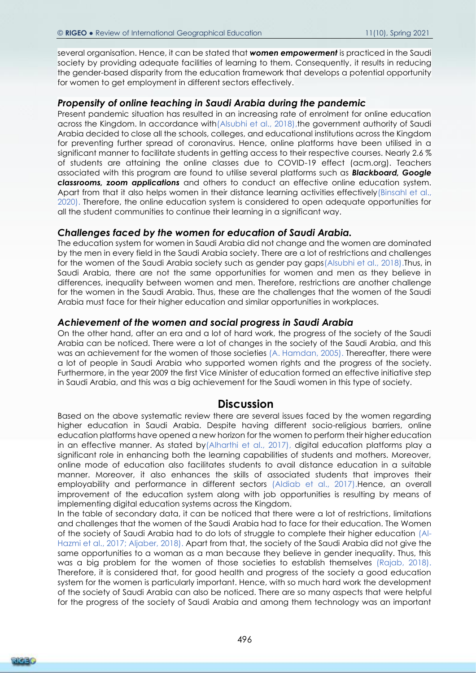several organisation. Hence, it can be stated that *women empowerment* is practiced in the Saudi society by providing adequate facilities of learning to them. Consequently, it results in reducing the gender-based disparity from the education framework that develops a potential opportunity for women to get employment in different sectors effectively.

### *Propensity of online teaching in Saudi Arabia during the pandemic*

Present pandemic situation has resulted in an increasing rate of enrolment for online education across the Kingdom. In accordance with (Alsubhi et al., 2018), the government authority of Saudi Arabia decided to close all the schools, colleges, and educational institutions across the Kingdom for preventing further spread of coronavirus. Hence, online platforms have been utilised in a significant manner to facilitate students in getting access to their respective courses. Nearly 2.6 % of students are attaining the online classes due to COVID-19 effect (acm.org). Teachers associated with this program are found to utilise several platforms such as *Blackboard, Google classrooms, zoom applications* and others to conduct an effective online education system. Apart from that it also helps women in their distance learning activities effectively (Binsahl et al., 2020). Therefore, the online education system is considered to open adequate opportunities for all the student communities to continue their learning in a significant way.

### *Challenges faced by the women for education of Saudi Arabia.*

The education system for women in Saudi Arabia did not change and the women are dominated by the men in every field in the Saudi Arabia society. There are a lot of restrictions and challenges for the women of the Saudi Arabia society such as gender pay gaps(Alsubhi et al., 2018).Thus, in Saudi Arabia, there are not the same opportunities for women and men as they believe in differences, inequality between women and men. Therefore, restrictions are another challenge for the women in the Saudi Arabia. Thus, these are the challenges that the women of the Saudi Arabia must face for their higher education and similar opportunities in workplaces.

### *Achievement of the women and social progress in Saudi Arabia*

On the other hand, after an era and a lot of hard work, the progress of the society of the Saudi Arabia can be noticed. There were a lot of changes in the society of the Saudi Arabia, and this was an achievement for the women of those societies (A. Hamdan, 2005). Thereafter, there were a lot of people in Saudi Arabia who supported women rights and the progress of the society. Furthermore, in the year 2009 the first Vice Minister of education formed an effective initiative step in Saudi Arabia, and this was a big achievement for the Saudi women in this type of society.

### **Discussion**

Based on the above systematic review there are several issues faced by the women regarding higher education in Saudi Arabia. Despite having different socio-religious barriers, online education platforms have opened a new horizon for the women to perform their higher education in an effective manner. As stated by(Alharthi et al., 2017), digital education platforms play a significant role in enhancing both the learning capabilities of students and mothers. Moreover, online mode of education also facilitates students to avail distance education in a suitable manner. Moreover, it also enhances the skills of associated students that improves their employability and performance in different sectors (Aldiab et al., 2017).Hence, an overall improvement of the education system along with job opportunities is resulting by means of implementing digital education systems across the Kingdom.

In the table of secondary data, it can be noticed that there were a lot of restrictions, limitations and challenges that the women of the Saudi Arabia had to face for their education. The Women of the society of Saudi Arabia had to do lots of struggle to complete their higher education (Al-Hazmi et al., 2017; Aljaber, 2018). Apart from that, the society of the Saudi Arabia did not give the same opportunities to a woman as a man because they believe in gender inequality. Thus, this was a big problem for the women of those societies to establish themselves (Rajab, 2018). Therefore, it is considered that, for good health and progress of the society a good education system for the women is particularly important. Hence, with so much hard work the development of the society of Saudi Arabia can also be noticed. There are so many aspects that were helpful for the progress of the society of Saudi Arabia and among them technology was an important

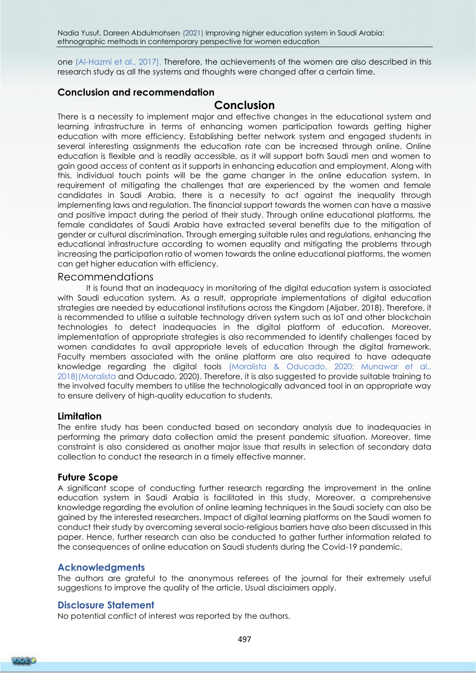one (Al-Hazmi et al., 2017). Therefore, the achievements of the women are also described in this research study as all the systems and thoughts were changed after a certain time.

### **Conclusion and recommendation**

# **Conclusion**

There is a necessity to implement major and effective changes in the educational system and learning infrastructure in terms of enhancing women participation towards getting higher education with more efficiency. Establishing better network system and engaged students in several interesting assignments the education rate can be increased through online. Online education is flexible and is readily accessible, as it will support both Saudi men and women to gain good access of content as it supports in enhancing education and employment. Along with this, individual touch points will be the game changer in the online education system. In requirement of mitigating the challenges that are experienced by the women and female candidates in Saudi Arabia, there is a necessity to act against the inequality through implementing laws and regulation. The financial support towards the women can have a massive and positive impact during the period of their study. Through online educational platforms, the female candidates of Saudi Arabia have extracted several benefits due to the mitigation of gender or cultural discrimination. Through emerging suitable rules and regulations, enhancing the educational infrastructure according to women equality and mitigating the problems through increasing the participation ratio of women towards the online educational platforms, the women can get higher education with efficiency.

### Recommendations

It is found that an inadequacy in monitoring of the digital education system is associated with Saudi education system. As a result, appropriate implementations of digital education strategies are needed by educational institutions across the Kingdom (Aljaber, 2018). Therefore, it is recommended to utilise a suitable technology driven system such as IoT and other blockchain technologies to detect inadequacies in the digital platform of education. Moreover, implementation of appropriate strategies is also recommended to identify challenges faced by women candidates to avail appropriate levels of education through the digital framework. Faculty members associated with the online platform are also required to have adequate knowledge regarding the digital tools (Moralista & Oducado, 2020; Munawar et al., 2018)(Moralista and Oducado, 2020). Therefore, it is also suggested to provide suitable training to the involved faculty members to utilise the technologically advanced tool in an appropriate way to ensure delivery of high-quality education to students.

### **Limitation**

The entire study has been conducted based on secondary analysis due to inadequacies in performing the primary data collection amid the present pandemic situation. Moreover, time constraint is also considered as another major issue that results in selection of secondary data collection to conduct the research in a timely effective manner.

### **Future Scope**

A significant scope of conducting further research regarding the improvement in the online education system in Saudi Arabia is facilitated in this study. Moreover, a comprehensive knowledge regarding the evolution of online learning techniques in the Saudi society can also be gained by the interested researchers. Impact of digital learning platforms on the Saudi women to conduct their study by overcoming several socio-religious barriers have also been discussed in this paper. Hence, further research can also be conducted to gather further information related to the consequences of online education on Saudi students during the Covid-19 pandemic.

### **Acknowledgments**

The authors are grateful to the anonymous referees of the journal for their extremely useful suggestions to improve the quality of the article. Usual disclaimers apply.

### **Disclosure Statement**

No potential conflict of interest was reported by the authors.

497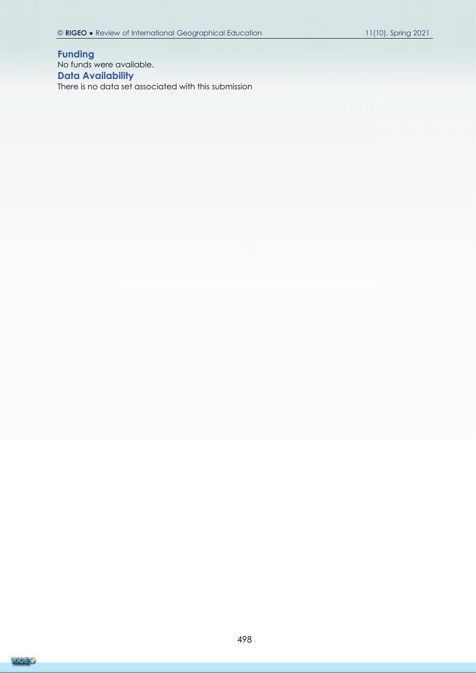**Funding** No funds were available. **Data Availability** There is no data set associated with this submission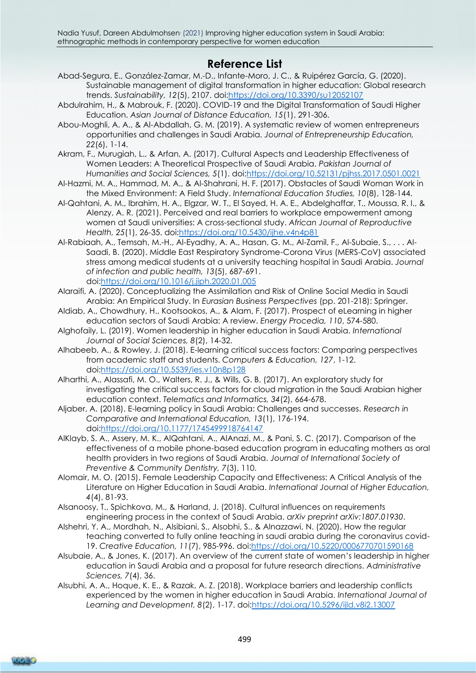# **Reference List**

- Abad-Segura, E., González-Zamar, M.-D., Infante-Moro, J. C., & Ruipérez García, G. (2020). Sustainable management of digital transformation in higher education: Global research trends. *Sustainability, 12*(5), 2107. doi[:https://doi.org/10.3390/su12052107](https://doi.org/10.3390/su12052107)
- Abdulrahim, H., & Mabrouk, F. (2020). COVID-19 and the Digital Transformation of Saudi Higher Education. *Asian Journal of Distance Education, 15*(1), 291-306.
- Abou-Moghli, A. A., & Al-Abdallah, G. M. (2019). A systematic review of women entrepreneurs opportunities and challenges in Saudi Arabia. *Journal of Entrepreneurship Education, 22*(6), 1-14.
- Akram, F., Murugiah, L., & Arfan, A. (2017). Cultural Aspects and Leadership Effectiveness of Women Leaders: A Theoretical Prospective of Saudi Arabia. *Pakistan Journal of Humanities and Social Sciences, 5*(1). doi[:https://doi.org/10.52131/pjhss.2017.0501.0021](https://doi.org/10.52131/pjhss.2017.0501.0021)
- Al-Hazmi, M. A., Hammad, M. A., & Al-Shahrani, H. F. (2017). Obstacles of Saudi Woman Work in the Mixed Environment: A Field Study. *International Education Studies, 10*(8), 128-144.
- Al-Qahtani, A. M., Ibrahim, H. A., Elgzar, W. T., El Sayed, H. A. E., Abdelghaffar, T., Moussa, R. I., & Alenzy, A. R. (2021). Perceived and real barriers to workplace empowerment among women at Saudi universities: A cross-sectional study. *African Journal of Reproductive Health, 25*(1), 26-35. doi[:https://doi.org/10.5430/ijhe.v4n4p81](https://doi.org/10.5430/ijhe.v4n4p81)
- Al-Rabiaah, A., Temsah, M.-H., Al-Eyadhy, A. A., Hasan, G. M., Al-Zamil, F., Al-Subaie, S., . . . Al-Saadi, B. (2020). Middle East Respiratory Syndrome-Corona Virus (MERS-CoV) associated stress among medical students at a university teaching hospital in Saudi Arabia. *Journal of infection and public health, 13*(5), 687-691. doi[:https://doi.org/10.1016/j.jiph.2020.01.005](https://doi.org/10.1016/j.jiph.2020.01.005)
- Alaraifi, A. (2020). Conceptualizing the Assimilation and Risk of Online Social Media in Saudi Arabia: An Empirical Study. In *Eurasian Business Perspectives* (pp. 201-218): Springer.
- Aldiab, A., Chowdhury, H., Kootsookos, A., & Alam, F. (2017). Prospect of eLearning in higher education sectors of Saudi Arabia: A review. *Energy Procedia, 110*, 574-580.
- Alghofaily, L. (2019). Women leadership in higher education in Saudi Arabia. *International Journal of Social Sciences, 8*(2), 14-32.
- Alhabeeb, A., & Rowley, J. (2018). E-learning critical success factors: Comparing perspectives from academic staff and students. *Computers & Education, 127*, 1-12. doi[:https://doi.org/10.5539/ies.v10n8p128](https://doi.org/10.5539/ies.v10n8p128)
- Alharthi, A., Alassafi, M. O., Walters, R. J., & Wills, G. B. (2017). An exploratory study for investigating the critical success factors for cloud migration in the Saudi Arabian higher education context. *Telematics and Informatics, 34*(2), 664-678.
- Aljaber, A. (2018). E-learning policy in Saudi Arabia: Challenges and successes. *Research in Comparative and International Education, 13*(1), 176-194. doi[:https://doi.org/10.1177/1745499918764147](https://doi.org/10.1177/1745499918764147)
- AlKlayb, S. A., Assery, M. K., AlQahtani, A., AlAnazi, M., & Pani, S. C. (2017). Comparison of the effectiveness of a mobile phone-based education program in educating mothers as oral health providers in two regions of Saudi Arabia. *Journal of International Society of Preventive & Community Dentistry, 7*(3), 110.
- Alomair, M. O. (2015). Female Leadership Capacity and Effectiveness: A Critical Analysis of the Literature on Higher Education in Saudi Arabia. *International Journal of Higher Education, 4*(4), 81-93.
- Alsanoosy, T., Spichkova, M., & Harland, J. (2018). Cultural influences on requirements engineering process in the context of Saudi Arabia. *arXiv preprint arXiv:1807.01930*.
- Alshehri, Y. A., Mordhah, N., Alsibiani, S., Alsobhi, S., & Alnazzawi, N. (2020). How the regular teaching converted to fully online teaching in saudi arabia during the coronavirus covid-19. *Creative Education, 11*(7), 985-996. doi[:https://doi.org/10.5220/0006770701590168](https://doi.org/10.5220/0006770701590168)
- Alsubaie, A., & Jones, K. (2017). An overview of the current state of women's leadership in higher education in Saudi Arabia and a proposal for future research directions. *Administrative Sciences, 7*(4), 36.
- Alsubhi, A. A., Hoque, K. E., & Razak, A. Z. (2018). Workplace barriers and leadership conflicts experienced by the women in higher education in Saudi Arabia. *International Journal of Learning and Development, 8*(2), 1-17. doi[:https://doi.org/10.5296/ijld.v8i2.13007](https://doi.org/10.5296/ijld.v8i2.13007)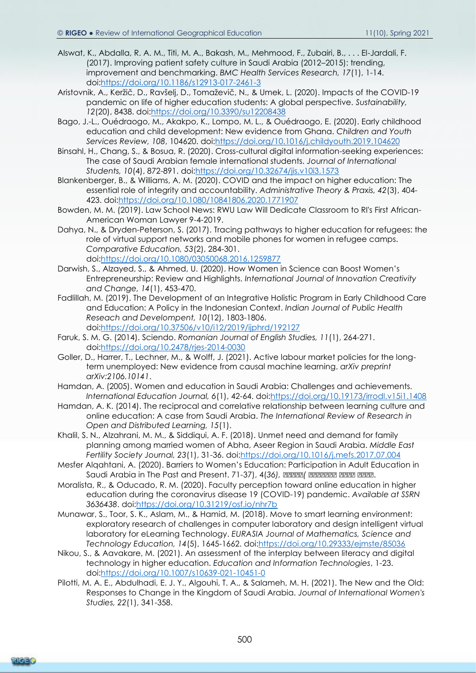- Alswat, K., Abdalla, R. A. M., Titi, M. A., Bakash, M., Mehmood, F., Zubairi, B., . . . El-Jardali, F. (2017). Improving patient safety culture in Saudi Arabia (2012–2015): trending, improvement and benchmarking. *BMC Health Services Research, 17*(1), 1-14. doi[:https://doi.org/10.1186/s12913-017-2461-3](https://doi.org/10.1186/s12913-017-2461-3)
- Aristovnik, A., Keržič, D., Ravšelj, D., Tomaževič, N., & Umek, L. (2020). Impacts of the COVID-19 pandemic on life of higher education students: A global perspective. *Sustainability, 12*(20), 8438. doi[:https://doi.org/10.3390/su12208438](https://doi.org/10.3390/su12208438)
- Bago, J.-L., Ouédraogo, M., Akakpo, K., Lompo, M. L., & Ouédraogo, E. (2020). Early childhood education and child development: New evidence from Ghana. *Children and Youth Services Review, 108*, 104620. doi[:https://doi.org/10.1016/j.childyouth.2019.104620](https://doi.org/10.1016/j.childyouth.2019.104620)
- Binsahl, H., Chang, S., & Bosua, R. (2020). Cross-cultural digital information-seeking experiences: The case of Saudi Arabian female international students. *Journal of International Students, 10*(4), 872-891. doi[:https://doi.org/10.32674/jis.v10i3.1573](https://doi.org/10.32674/jis.v10i3.1573)
- Blankenberger, B., & Williams, A. M. (2020). COVID and the impact on higher education: The essential role of integrity and accountability. *Administrative Theory & Praxis, 42*(3), 404- 423. doi[:https://doi.org/10.1080/10841806.2020.1771907](https://doi.org/10.1080/10841806.2020.1771907)
- Bowden, M. M. (2019). Law School News: RWU Law Will Dedicate Classroom to RI's First African-American Woman Lawyer 9-4-2019.
- Dahya, N., & Dryden-Peterson, S. (2017). Tracing pathways to higher education for refugees: the role of virtual support networks and mobile phones for women in refugee camps. *Comparative Education, 53*(2), 284-301. doi[:https://doi.org/10.1080/03050068.2016.1259877](https://doi.org/10.1080/03050068.2016.1259877)
- Darwish, S., Alzayed, S., & Ahmed, U. (2020). How Women in Science can Boost Women's Entrepreneurship: Review and Highlights. *International Journal of Innovation Creativity and Change, 14*(1), 453-470.
- Fadlillah, M. (2019). The Development of an Integrative Holistic Program in Early Childhood Care and Education: A Policy in the Indonesian Context. *Indian Journal of Public Health Reseach and Develompent, 10*(12), 1803-1806. doi[:https://doi.org/10.37506/v10/i12/2019/ijphrd/192127](https://doi.org/10.37506/v10/i12/2019/ijphrd/192127)
- Faruk, S. M. G. (2014). Sciendo. *Romanian Journal of English Studies, 11*(1), 264-271. doi[:https://doi.org/10.2478/rjes-2014-0030](https://doi.org/10.2478/rjes-2014-0030)
- Goller, D., Harrer, T., Lechner, M., & Wolff, J. (2021). Active labour market policies for the longterm unemployed: New evidence from causal machine learning. *arXiv preprint arXiv:2106.10141*.
- Hamdan, A. (2005). Women and education in Saudi Arabia: Challenges and achievements. *International Education Journal, 6*(1), 42-64. doi[:https://doi.org/10.19173/irrodl.v15i1.1408](https://doi.org/10.19173/irrodl.v15i1.1408)
- Hamdan, A. K. (2014). The reciprocal and correlative relationship between learning culture and online education: A case from Saudi Arabia. *The International Review of Research in Open and Distributed Learning, 15*(1).
- Khalil, S. N., Alzahrani, M. M., & Siddiqui, A. F. (2018). Unmet need and demand for family planning among married women of Abha, Aseer Region in Saudi Arabia. *Middle East Fertility Society Journal, 23*(1), 31-36. doi[:https://doi.org/10.1016/j.mefs.2017.07.004](https://doi.org/10.1016/j.mefs.2017.07.004)
- Mesfer Alqahtani, A. (2020). Barriers to Women's Education: Participation in Adult Education in Saudi Arabia in The Past and Present. 71-37), 4(*36), ممممم )ممممممم مممم مممم*.
- Moralista, R., & Oducado, R. M. (2020). Faculty perception toward online education in higher education during the coronavirus disease 19 (COVID-19) pandemic. *Available at SSRN 3636438*. doi[:https://doi.org/10.31219/osf.io/nhr7b](https://doi.org/10.31219/osf.io/nhr7b)
- Munawar, S., Toor, S. K., Aslam, M., & Hamid, M. (2018). Move to smart learning environment: exploratory research of challenges in computer laboratory and design intelligent virtual laboratory for eLearning Technology. *EURASIA Journal of Mathematics, Science and Technology Education, 14*(5), 1645-1662. doi[:https://doi.org/10.29333/ejmste/85036](https://doi.org/10.29333/ejmste/85036)
- Nikou, S., & Aavakare, M. (2021). An assessment of the interplay between literacy and digital technology in higher education. *Education and Information Technologies*, 1-23. doi[:https://doi.org/10.1007/s10639-021-10451-0](https://doi.org/10.1007/s10639-021-10451-0)
- Pilotti, M. A. E., Abdulhadi, E. J. Y., Algouhi, T. A., & Salameh, M. H. (2021). The New and the Old: Responses to Change in the Kingdom of Saudi Arabia. *Journal of International Women's Studies, 22*(1), 341-358.

500